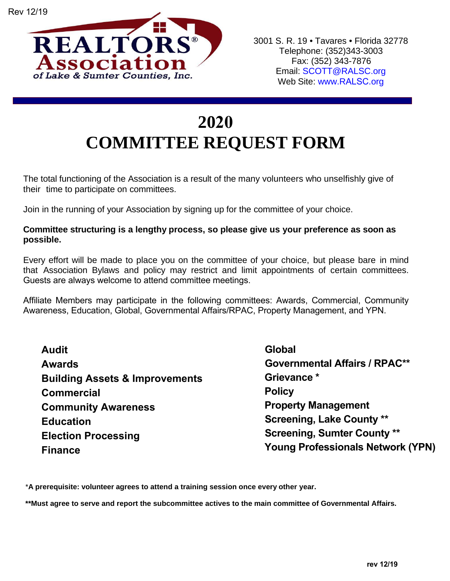

## **2020 COMMITTEE REQUEST FORM**

The total functioning of the Association is a result of the many volunteers who unselfishly give of their time to participate on committees.

Join in the running of your Association by signing up for the committee of your choice.

## **Committee structuring is a lengthy process, so please give us your preference as soon as possible.**

Every effort will be made to place you on the committee of your choice, but please bare in mind that Association Bylaws and policy may restrict and limit appointments of certain committees. Guests are always welcome to attend committee meetings.

Affiliate Members may participate in the following committees: Awards, Commercial, Community Awareness, Education, Global, Governmental Affairs/RPAC, Property Management, and YPN.

**Audit Awards Building Assets & Improvements Commercial Community Awareness Education Election Processing Finance**

**Global Governmental Affairs / RPAC\*\* Grievance \* Policy Property Management Screening, Lake County \*\* Screening, Sumter County \*\* Young Professionals Network (YPN)**

\***A prerequisite: volunteer agrees to attend a training session once every other year.**

**\*\*Must agree to serve and report the subcommittee actives to the main committee of Governmental Affairs.**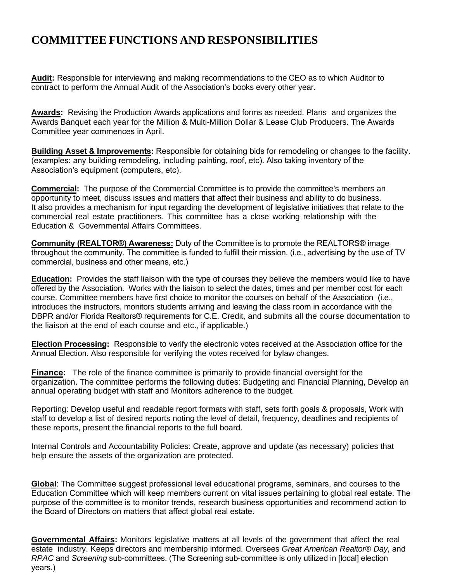## **COMMITTEE FUNCTIONS AND RESPONSIBILITIES**

**Audit:** Responsible for interviewing and making recommendations to the CEO as to which Auditor to contract to perform the Annual Audit of the Association's books every other year.

**Awards:** Revising the Production Awards applications and forms as needed. Plans and organizes the Awards Banquet each year for the Million & Multi-Million Dollar & Lease Club Producers. The Awards Committee year commences in April.

**Building Asset & Improvements:** Responsible for obtaining bids for remodeling or changes to the facility. (examples: any building remodeling, including painting, roof, etc). Also taking inventory of the Association's equipment (computers, etc).

**Commercial:** The purpose of the Commercial Committee is to provide the committee's members an opportunity to meet, discuss issues and matters that affect their business and ability to do business. It also provides a mechanism for input regarding the development of legislative initiatives that relate to the commercial real estate practitioners. This committee has a close working relationship with the Education & Governmental Affairs Committees.

**Community (REALTOR®) Awareness:** Duty of the Committee is to promote the REALTORS® image throughout the community. The committee is funded to fulfill their mission. (i.e., advertising by the use of TV commercial, business and other means, etc.)

**Education:** Provides the staff liaison with the type of courses they believe the members would like to have offered by the Association. Works with the liaison to select the dates, times and per member cost for each course. Committee members have first choice to monitor the courses on behalf of the Association (i.e., introduces the instructors, monitors students arriving and leaving the class room in accordance with the DBPR and/or Florida Realtors® requirements for C.E. Credit, and submits all the course documentation to the liaison at the end of each course and etc., if applicable.)

**Election Processing:** Responsible to verify the electronic votes received at the Association office for the Annual Election. Also responsible for verifying the votes received for bylaw changes.

**Finance:** The role of the finance committee is primarily to provide financial oversight for the organization. The committee performs the following duties: Budgeting and Financial Planning, Develop an annual operating budget with staff and Monitors adherence to the budget.

Reporting: Develop useful and readable report formats with staff, sets forth goals & proposals, Work with staff to develop a list of desired reports noting the level of detail, frequency, deadlines and recipients of these reports, present the financial reports to the full board.

Internal Controls and Accountability Policies: Create, approve and update (as necessary) policies that help ensure the assets of the organization are protected.

**Global**: The Committee suggest professional level educational programs, seminars, and courses to the Education Committee which will keep members current on vital issues pertaining to global real estate. The purpose of the committee is to monitor trends, research business opportunities and recommend action to the Board of Directors on matters that affect global real estate.

**Governmental Affairs:** Monitors legislative matters at all levels of the government that affect the real estate industry. Keeps directors and membership informed. Oversees *Great American Realtor® Day*, and *RPAC* and *Screening* sub-committees. (The Screening sub-committee is only utilized in [local] election years.)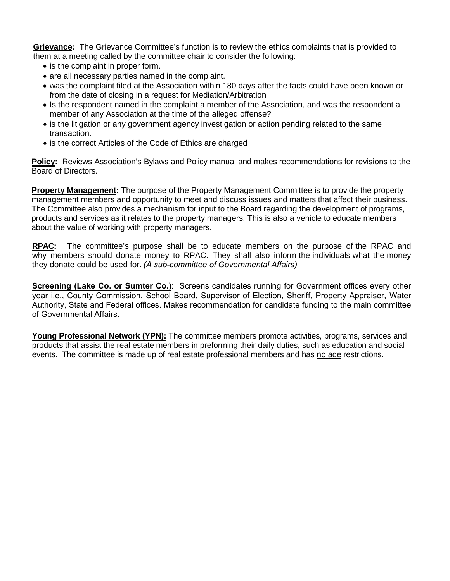**Grievance:** The Grievance Committee's function is to review the ethics complaints that is provided to them at a meeting called by the committee chair to consider the following:

- is the complaint in proper form.
- are all necessary parties named in the complaint.
- was the complaint filed at the Association within 180 days after the facts could have been known or from the date of closing in a request for Mediation/Arbitration
- Is the respondent named in the complaint a member of the Association, and was the respondent a member of any Association at the time of the alleged offense?
- is the litigation or any government agency investigation or action pending related to the same transaction.
- is the correct Articles of the Code of Ethics are charged

**Policy:** Reviews Association's Bylaws and Policy manual and makes recommendations for revisions to the Board of Directors.

**Property Management:** The purpose of the Property Management Committee is to provide the property management members and opportunity to meet and discuss issues and matters that affect their business. The Committee also provides a mechanism for input to the Board regarding the development of programs, products and services as it relates to the property managers. This is also a vehicle to educate members about the value of working with property managers.

**RPAC:** The committee's purpose shall be to educate members on the purpose of the RPAC and why members should donate money to RPAC. They shall also inform the individuals what the money they donate could be used for. *(A sub-committee of Governmental Affairs)*

**Screening (Lake Co. or Sumter Co.)**: Screens candidates running for Government offices every other year i.e., County Commission, School Board, Supervisor of Election, Sheriff, Property Appraiser, Water Authority, State and Federal offices. Makes recommendation for candidate funding to the main committee of Governmental Affairs.

**Young Professional Network (YPN):** The committee members promote activities, programs, services and products that assist the real estate members in preforming their daily duties, such as education and social events. The committee is made up of real estate professional members and has no age restrictions.